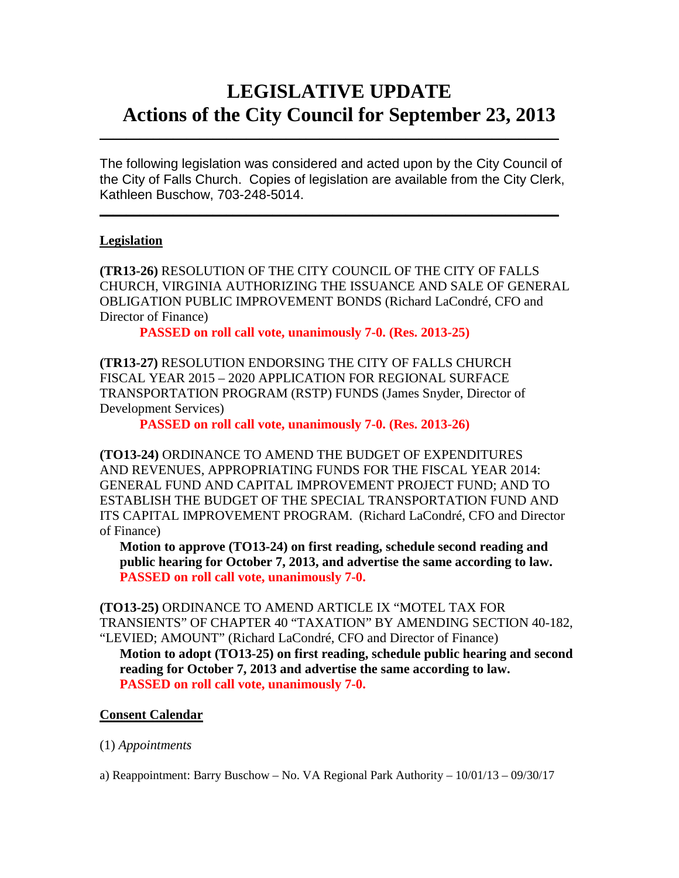# **LEGISLATIVE UPDATE Actions of the City Council for September 23, 2013**

The following legislation was considered and acted upon by the City Council of the City of Falls Church. Copies of legislation are available from the City Clerk, Kathleen Buschow, 703-248-5014.

 $\mathcal{L}_\text{max}$  and  $\mathcal{L}_\text{max}$  and  $\mathcal{L}_\text{max}$  and  $\mathcal{L}_\text{max}$  and  $\mathcal{L}_\text{max}$  and  $\mathcal{L}_\text{max}$ 

 $\mathcal{L}_\text{max}$  and  $\mathcal{L}_\text{max}$  and  $\mathcal{L}_\text{max}$  and  $\mathcal{L}_\text{max}$  and  $\mathcal{L}_\text{max}$  and  $\mathcal{L}_\text{max}$ 

# **Legislation**

**(TR13-26)** RESOLUTION OF THE CITY COUNCIL OF THE CITY OF FALLS CHURCH, VIRGINIA AUTHORIZING THE ISSUANCE AND SALE OF GENERAL OBLIGATION PUBLIC IMPROVEMENT BONDS (Richard LaCondré, CFO and Director of Finance)

**PASSED on roll call vote, unanimously 7-0. (Res. 2013-25)**

**(TR13-27)** RESOLUTION ENDORSING THE CITY OF FALLS CHURCH FISCAL YEAR 2015 – 2020 APPLICATION FOR REGIONAL SURFACE TRANSPORTATION PROGRAM (RSTP) FUNDS (James Snyder, Director of Development Services)

**PASSED on roll call vote, unanimously 7-0. (Res. 2013-26)**

**(TO13-24)** ORDINANCE TO AMEND THE BUDGET OF EXPENDITURES AND REVENUES, APPROPRIATING FUNDS FOR THE FISCAL YEAR 2014: GENERAL FUND AND CAPITAL IMPROVEMENT PROJECT FUND; AND TO ESTABLISH THE BUDGET OF THE SPECIAL TRANSPORTATION FUND AND ITS CAPITAL IMPROVEMENT PROGRAM. (Richard LaCondré, CFO and Director of Finance)

**Motion to approve (TO13-24) on first reading, schedule second reading and public hearing for October 7, 2013, and advertise the same according to law. PASSED on roll call vote, unanimously 7-0.**

**(TO13-25)** ORDINANCE TO AMEND ARTICLE IX "MOTEL TAX FOR TRANSIENTS" OF CHAPTER 40 "TAXATION" BY AMENDING SECTION 40-182, "LEVIED; AMOUNT" (Richard LaCondré, CFO and Director of Finance)

**Motion to adopt (TO13-25) on first reading, schedule public hearing and second reading for October 7, 2013 and advertise the same according to law. PASSED on roll call vote, unanimously 7-0.**

# **Consent Calendar**

#### (1) *Appointments*

a) Reappointment: Barry Buschow – No. VA Regional Park Authority – 10/01/13 – 09/30/17